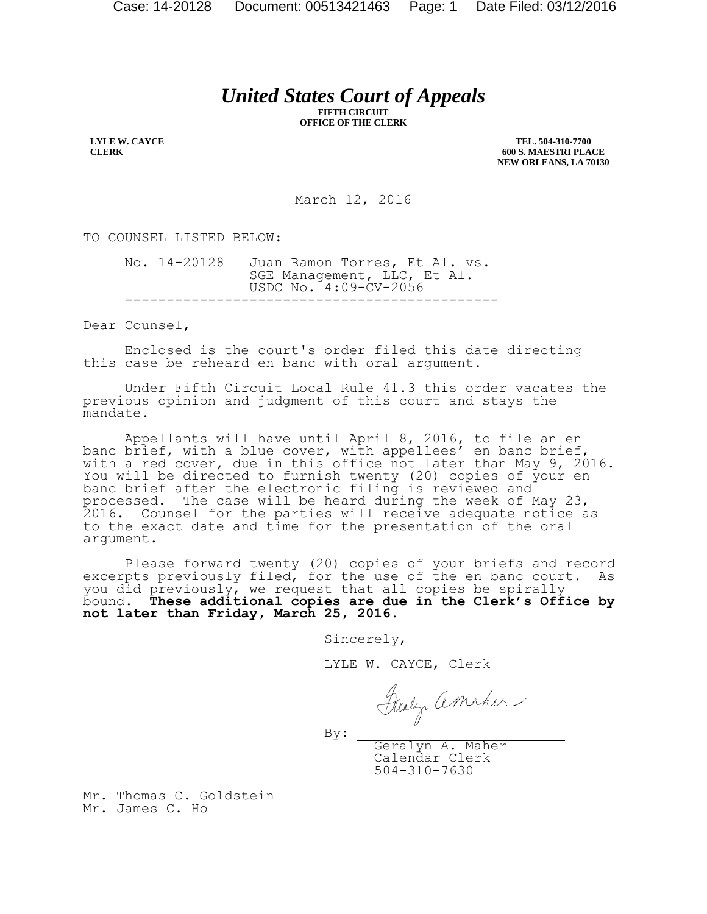## *United States Court of Appeals*

**FIFTH CIRCUIT OFFICE OF THE CLERK**

**LYLE W. CAYCE CLERK**

**TEL. 504-310-7700 600 S. MAESTRI PLACE NEW ORLEANS, LA 70130**

March 12, 2016

TO COUNSEL LISTED BELOW:

No. 14-20128 Juan Ramon Torres, Et Al. vs. SGE Management, LLC, Et Al. USDC No. 4:09-CV-2056 ---------------------------------------------

Dear Counsel,

Enclosed is the court's order filed this date directing this case be reheard en banc with oral argument.

Under Fifth Circuit Local Rule 41.3 this order vacates the previous opinion and judgment of this court and stays the mandate.

Appellants will have until April 8, 2016, to file an en banc brief, with a blue cover, with appellees' en banc brief, with a red cover, due in this office not later than May 9, 2016. You will be directed to furnish twenty (20) copies of your en banc brief after the electronic filing is reviewed and processed.The case will be heard during the week of May 23, 2016. Counsel for the parties will receive adequate notice as to the exact date and time for the presentation of the oral argument.

Please forward twenty (20) copies of your briefs and record excerpts previously filed, for the use of the en banc court. As you did previously, we request that all copies be spirally bound. **These additional copies are due in the Clerk's Office by not later than Friday, March 25, 2016.**

Sincerely,

LYLE W. CAYCE, Clerk

 $By:$ 

Geralyn A. Maher Calendar Clerk 504-310-7630

Mr. Thomas C. Goldstein Mr. James C. Ho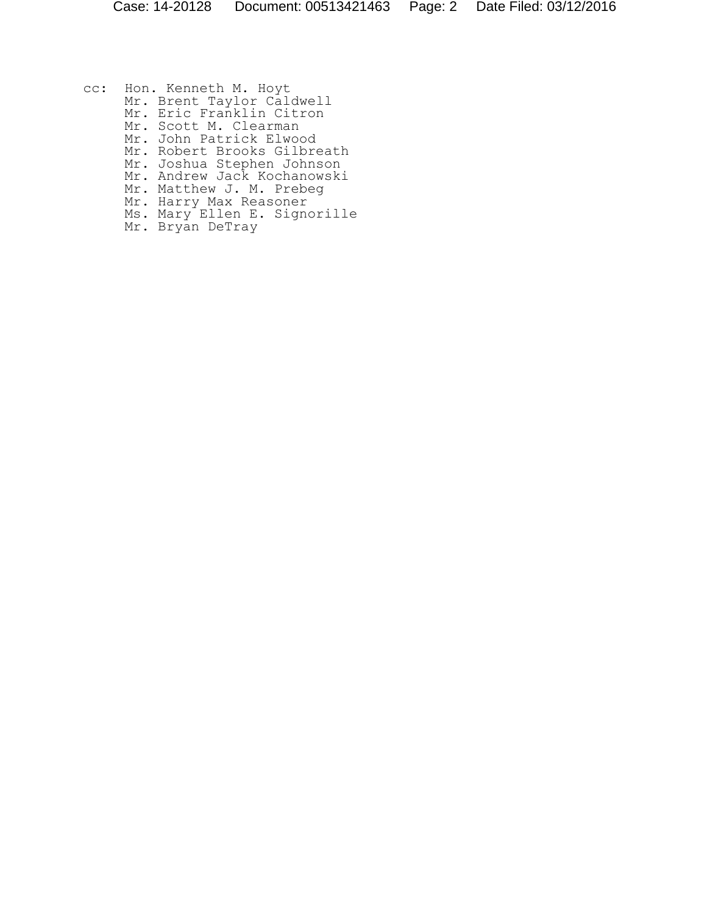cc: Hon. Kenneth M. Hoyt Mr. Brent Taylor Caldwell Mr. Eric Franklin Citron Mr. Scott M. Clearman Mr. John Patrick Elwood Mr. Robert Brooks Gilbreath Mr. Joshua Stephen Johnson Mr. Andrew Jack Kochanowski Mr. Matthew J. M. Prebeg Mr. Harry Max Reasoner Ms. Mary Ellen E. Signorille Mr. Bryan DeTray